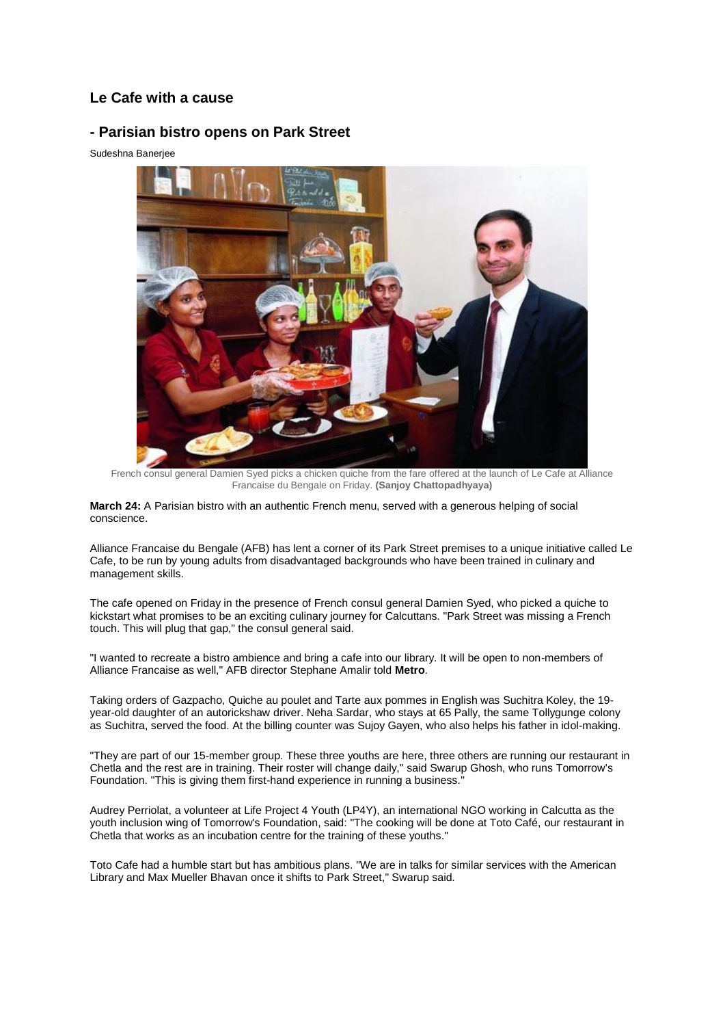## **Le Cafe with a cause**

## **- Parisian bistro opens on Park Street**

Sudeshna Banerjee



French consul general Damien Syed picks a chicken quiche from the fare offered at the launch of Le Cafe at Alliance Francaise du Bengale on Friday. **(Sanjoy Chattopadhyaya)**

**March 24:** A Parisian bistro with an authentic French menu, served with a generous helping of social conscience.

Alliance Francaise du Bengale (AFB) has lent a corner of its Park Street premises to a unique initiative called Le Cafe, to be run by young adults from disadvantaged backgrounds who have been trained in culinary and management skills.

The cafe opened on Friday in the presence of French consul general Damien Syed, who picked a quiche to kickstart what promises to be an exciting culinary journey for Calcuttans. "Park Street was missing a French touch. This will plug that gap," the consul general said.

"I wanted to recreate a bistro ambience and bring a cafe into our library. It will be open to non-members of Alliance Francaise as well," AFB director Stephane Amalir told **Metro**.

Taking orders of Gazpacho, Quiche au poulet and Tarte aux pommes in English was Suchitra Koley, the 19 year-old daughter of an autorickshaw driver. Neha Sardar, who stays at 65 Pally, the same Tollygunge colony as Suchitra, served the food. At the billing counter was Sujoy Gayen, who also helps his father in idol-making.

"They are part of our 15-member group. These three youths are here, three others are running our restaurant in Chetla and the rest are in training. Their roster will change daily," said Swarup Ghosh, who runs Tomorrow's Foundation. "This is giving them first-hand experience in running a business."

Audrey Perriolat, a volunteer at Life Project 4 Youth (LP4Y), an international NGO working in Calcutta as the youth inclusion wing of Tomorrow's Foundation, said: "The cooking will be done at Toto Café, our restaurant in Chetla that works as an incubation centre for the training of these youths."

Toto Cafe had a humble start but has ambitious plans. "We are in talks for similar services with the American Library and Max Mueller Bhavan once it shifts to Park Street," Swarup said.